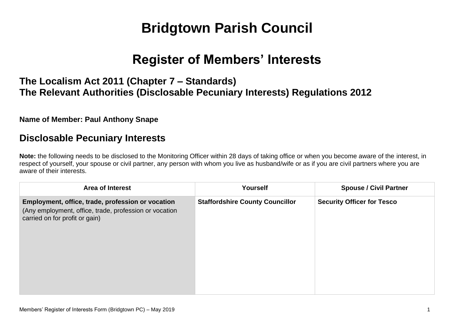# **Bridgtown Parish Council**

## **Register of Members' Interests**

## **The Localism Act 2011 (Chapter 7 – Standards) The Relevant Authorities (Disclosable Pecuniary Interests) Regulations 2012**

#### **Name of Member: Paul Anthony Snape**

### **Disclosable Pecuniary Interests**

**Note:** the following needs to be disclosed to the Monitoring Officer within 28 days of taking office or when you become aware of the interest, in respect of yourself, your spouse or civil partner, any person with whom you live as husband/wife or as if you are civil partners where you are aware of their interests.

| <b>Area of Interest</b>                                                                                                                       | <b>Yourself</b>                        | <b>Spouse / Civil Partner</b>     |
|-----------------------------------------------------------------------------------------------------------------------------------------------|----------------------------------------|-----------------------------------|
| Employment, office, trade, profession or vocation<br>(Any employment, office, trade, profession or vocation<br>carried on for profit or gain) | <b>Staffordshire County Councillor</b> | <b>Security Officer for Tesco</b> |
|                                                                                                                                               |                                        |                                   |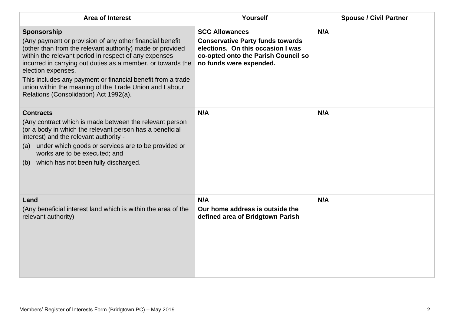| <b>Area of Interest</b>                                                                                                                                                                                                                                                                                                                                                                                                                               | Yourself                                                                                                                                                                | <b>Spouse / Civil Partner</b> |
|-------------------------------------------------------------------------------------------------------------------------------------------------------------------------------------------------------------------------------------------------------------------------------------------------------------------------------------------------------------------------------------------------------------------------------------------------------|-------------------------------------------------------------------------------------------------------------------------------------------------------------------------|-------------------------------|
| Sponsorship<br>(Any payment or provision of any other financial benefit<br>(other than from the relevant authority) made or provided<br>within the relevant period in respect of any expenses<br>incurred in carrying out duties as a member, or towards the<br>election expenses.<br>This includes any payment or financial benefit from a trade<br>union within the meaning of the Trade Union and Labour<br>Relations (Consolidation) Act 1992(a). | <b>SCC Allowances</b><br><b>Conservative Party funds towards</b><br>elections. On this occasion I was<br>co-opted onto the Parish Council so<br>no funds were expended. | N/A                           |
| <b>Contracts</b><br>(Any contract which is made between the relevant person<br>(or a body in which the relevant person has a beneficial<br>interest) and the relevant authority -<br>(a) under which goods or services are to be provided or<br>works are to be executed; and<br>which has not been fully discharged.<br>(b)                                                                                                                          | N/A                                                                                                                                                                     | N/A                           |
| Land<br>(Any beneficial interest land which is within the area of the<br>relevant authority)                                                                                                                                                                                                                                                                                                                                                          | N/A<br>Our home address is outside the<br>defined area of Bridgtown Parish                                                                                              | N/A                           |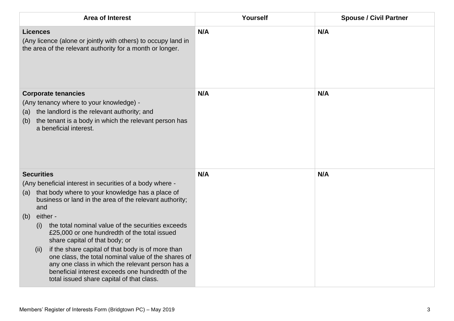| <b>Area of Interest</b>                                                                                                                                                                                                                                                                                                                                                                                                                                                                                                                                                                                 | Yourself | <b>Spouse / Civil Partner</b> |
|---------------------------------------------------------------------------------------------------------------------------------------------------------------------------------------------------------------------------------------------------------------------------------------------------------------------------------------------------------------------------------------------------------------------------------------------------------------------------------------------------------------------------------------------------------------------------------------------------------|----------|-------------------------------|
| <b>Licences</b><br>(Any licence (alone or jointly with others) to occupy land in<br>the area of the relevant authority for a month or longer.                                                                                                                                                                                                                                                                                                                                                                                                                                                           | N/A      | N/A                           |
| <b>Corporate tenancies</b><br>(Any tenancy where to your knowledge) -<br>the landlord is the relevant authority; and<br>(a)<br>the tenant is a body in which the relevant person has<br>(b)<br>a beneficial interest.                                                                                                                                                                                                                                                                                                                                                                                   | N/A      | N/A                           |
| <b>Securities</b><br>(Any beneficial interest in securities of a body where -<br>that body where to your knowledge has a place of<br>(a)<br>business or land in the area of the relevant authority;<br>and<br>either -<br>(b)<br>the total nominal value of the securities exceeds<br>(i)<br>£25,000 or one hundredth of the total issued<br>share capital of that body; or<br>if the share capital of that body is of more than<br>(ii)<br>one class, the total nominal value of the shares of<br>any one class in which the relevant person has a<br>beneficial interest exceeds one hundredth of the | N/A      | N/A                           |